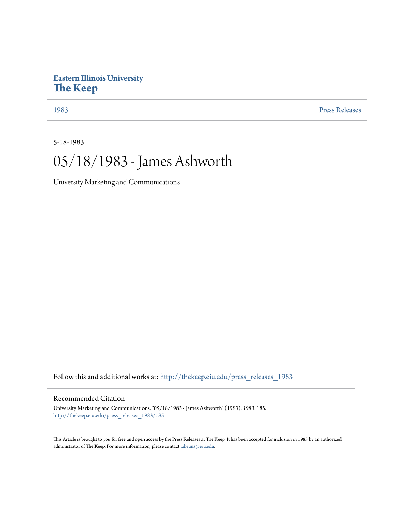## **Eastern Illinois University [The Keep](http://thekeep.eiu.edu?utm_source=thekeep.eiu.edu%2Fpress_releases_1983%2F185&utm_medium=PDF&utm_campaign=PDFCoverPages)**

[1983](http://thekeep.eiu.edu/press_releases_1983?utm_source=thekeep.eiu.edu%2Fpress_releases_1983%2F185&utm_medium=PDF&utm_campaign=PDFCoverPages) [Press Releases](http://thekeep.eiu.edu/press_releases_collection?utm_source=thekeep.eiu.edu%2Fpress_releases_1983%2F185&utm_medium=PDF&utm_campaign=PDFCoverPages)

5-18-1983

## 05/18/1983 - James Ashworth

University Marketing and Communications

Follow this and additional works at: [http://thekeep.eiu.edu/press\\_releases\\_1983](http://thekeep.eiu.edu/press_releases_1983?utm_source=thekeep.eiu.edu%2Fpress_releases_1983%2F185&utm_medium=PDF&utm_campaign=PDFCoverPages)

## Recommended Citation

University Marketing and Communications, "05/18/1983 - James Ashworth" (1983). *1983*. 185. [http://thekeep.eiu.edu/press\\_releases\\_1983/185](http://thekeep.eiu.edu/press_releases_1983/185?utm_source=thekeep.eiu.edu%2Fpress_releases_1983%2F185&utm_medium=PDF&utm_campaign=PDFCoverPages)

This Article is brought to you for free and open access by the Press Releases at The Keep. It has been accepted for inclusion in 1983 by an authorized administrator of The Keep. For more information, please contact [tabruns@eiu.edu.](mailto:tabruns@eiu.edu)